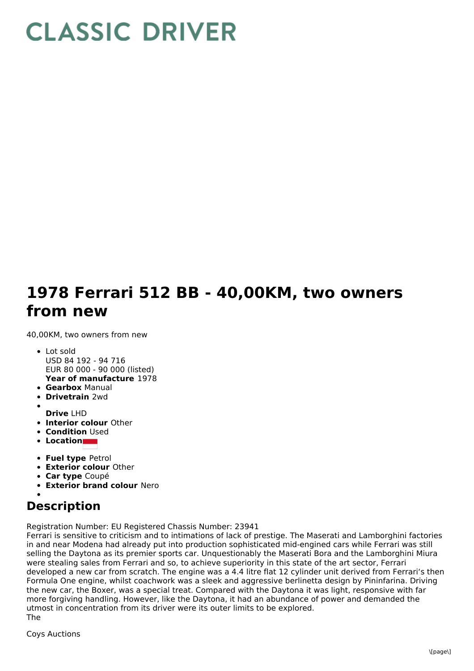## **CLASSIC DRIVER**

## **1978 Ferrari 512 BB - 40,00KM, two owners from new**

40,00KM, two owners from new

- **Year of manufacture** 1978 Lot sold USD 84 192 - 94 716 EUR 80 000 - 90 000 (listed)
- **Gearbox** Manual
- **Drivetrain** 2wd
- **Drive** LHD
- **Interior colour** Other
- **Condition** Used
- **Location**
- 
- **Fuel type** Petrol
- **Exterior colour** Other
- **Car type** Coupé
- **Exterior brand colour** Nero

## **Description**

Registration Number: EU Registered Chassis Number: 23941

Ferrari is sensitive to criticism and to intimations of lack of prestige. The Maserati and Lamborghini factories in and near Modena had already put into production sophisticated mid-engined cars while Ferrari was still selling the Daytona as its premier sports car. Unquestionably the Maserati Bora and the Lamborghini Miura were stealing sales from Ferrari and so, to achieve superiority in this state of the art sector, Ferrari developed a new car from scratch. The engine was a 4.4 litre flat 12 cylinder unit derived from Ferrari's then Formula One engine, whilst coachwork was a sleek and aggressive berlinetta design by Pininfarina. Driving the new car, the Boxer, was a special treat. Compared with the Daytona it was light, responsive with far more forgiving handling. However, like the Daytona, it had an abundance of power and demanded the utmost in concentration from its driver were its outer limits to be explored. The

Coys Auctions